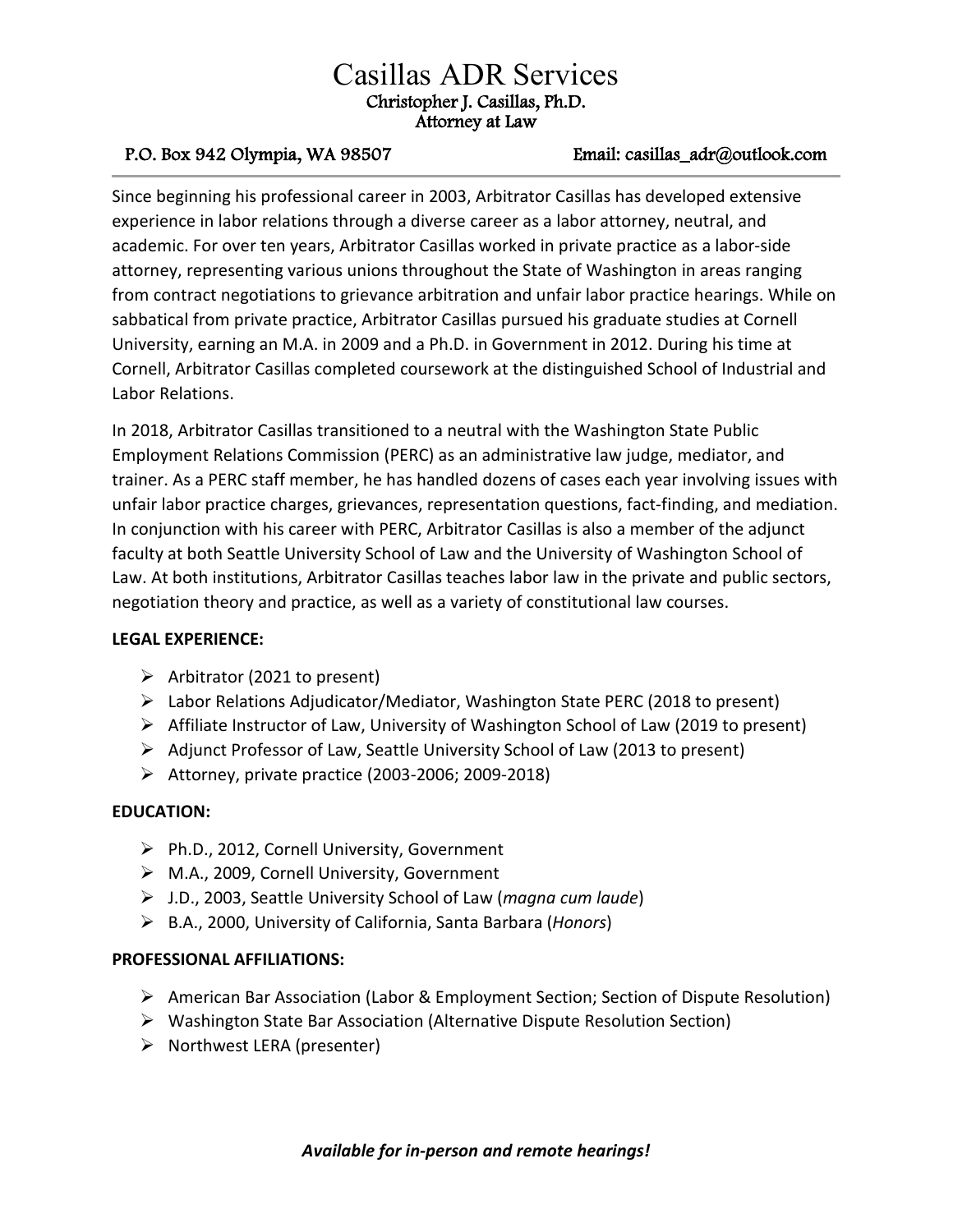# Casillas ADR Services Christopher J. Casillas, Ph.D. Attorney at Law

# P.O. Box 942 Olympia, WA 98507 Email: casillas\_adr@outlook.com

Since beginning his professional career in 2003, Arbitrator Casillas has developed extensive experience in labor relations through a diverse career as a labor attorney, neutral, and academic. For over ten years, Arbitrator Casillas worked in private practice as a labor-side attorney, representing various unions throughout the State of Washington in areas ranging from contract negotiations to grievance arbitration and unfair labor practice hearings. While on sabbatical from private practice, Arbitrator Casillas pursued his graduate studies at Cornell University, earning an M.A. in 2009 and a Ph.D. in Government in 2012. During his time at Cornell, Arbitrator Casillas completed coursework at the distinguished School of Industrial and Labor Relations.

In 2018, Arbitrator Casillas transitioned to a neutral with the Washington State Public Employment Relations Commission (PERC) as an administrative law judge, mediator, and trainer. As a PERC staff member, he has handled dozens of cases each year involving issues with unfair labor practice charges, grievances, representation questions, fact-finding, and mediation. In conjunction with his career with PERC, Arbitrator Casillas is also a member of the adjunct faculty at both Seattle University School of Law and the University of Washington School of Law. At both institutions, Arbitrator Casillas teaches labor law in the private and public sectors, negotiation theory and practice, as well as a variety of constitutional law courses.

# **LEGAL EXPERIENCE:**

- $\triangleright$  Arbitrator (2021 to present)
- Labor Relations Adjudicator/Mediator, Washington State PERC (2018 to present)
- $\triangleright$  Affiliate Instructor of Law, University of Washington School of Law (2019 to present)
- $\triangleright$  Adjunct Professor of Law, Seattle University School of Law (2013 to present)
- $\triangleright$  Attorney, private practice (2003-2006; 2009-2018)

# **EDUCATION:**

- Ph.D., 2012, Cornell University, Government
- M.A., 2009, Cornell University, Government
- J.D., 2003, Seattle University School of Law (*magna cum laude*)
- B.A., 2000, University of California, Santa Barbara (*Honors*)

### **PROFESSIONAL AFFILIATIONS:**

- $\triangleright$  American Bar Association (Labor & Employment Section; Section of Dispute Resolution)
- $\triangleright$  Washington State Bar Association (Alternative Dispute Resolution Section)
- $\triangleright$  Northwest LERA (presenter)